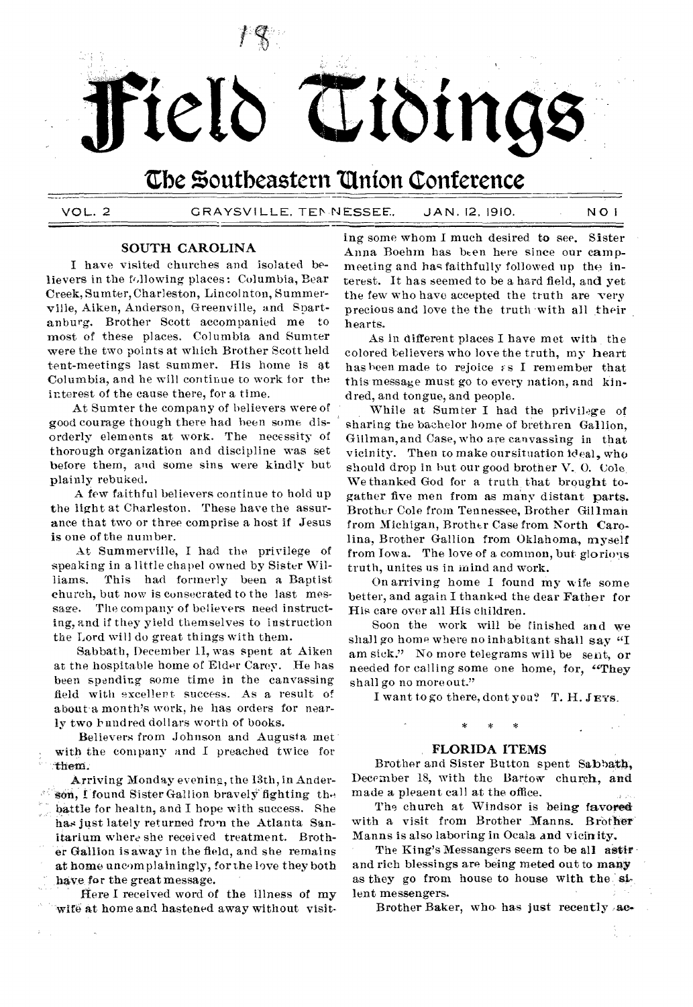

VOL. 2 GRAYSVILLE. TEN NESSEE. JAN. 12, 1910. NO 1

## **SOUTH CAROLINA**

I have visited churches and isolated believers in the following places: Columbia, Bear Creek, Sumter, Charleston, Lincolnton, Summerville, Aiken, Anderson, Greenville, and Spartanburg. Brother Scott accompanied me to most of these places. Columbia and Sumter were the two points at which Brother Scott held tent-meetings last summer. His home is at Columbia, and he will continue to work for the interest of the cause there, for a time.

At Sumter the company of believers were of good courage though there had been some disorderly elements at work. The necessity of thorough organization and discipline was set before them, and some sins were kindly but plainly rebuked.

A few faithful believers continue to hold up the light at Charleston. These have the assurance that two or three comprise a host if Jesus is one of the number.

At Summerville, I had the privilege of speaking in a little chapel owned by Sister Williams. This had formerly been a Baptist church, but now is consecrated to the last message. The company of believers need instructing, and if they yield themselves to instruction the Lord will do great things with them.

Sabbath, December 11, was spent at Aiken at the hospitable home of Elder Carey. He has been spending some time in the canvassing field with excellent success. As a result of about a month's work, he has orders for nearly two hundred dollars worth of books.

Believers from Johnson and Augusta met with the company and I preached twice for them.

Arriving Monday evening, the 13th, in Anderson, I found Sister Gallion bravely fighting the hattle for health, and I hope with success. She has just lately returned from the Atlanta Sanitarium where she received treatment. Brother Gallion is away in the field, and she remains at home uncomplainingly, for the love they both have for the great message.

Here I received word of the illness of my 'wife at home and hastened away without visit-

ing some whom I much desired to see. Sister Anna Boehm has been here since our campmeeting and has faithfully followed up the interest. It has seemed to be a hard field, and yet the few who have accepted the truth are very precious and love the the truth with all their hearts.

As in different places I have met with the colored believers who love the truth, my heart has been made to rejoice  $\epsilon s$  I remember that this message must go to every nation, and kindred, and tongue, and people.

While at Sumter I had the privilege of sharing the bachelor home of brethren Gallion, Gillman, and Case, who are canvassing in that vicinity. Then to make our situation ideal, who should drop in hut our good brother V., 0. Cole. We thanked God for a truth that brought togather five men from as many distant parts. Brother Cole from Tennessee, Brother Gillman from Michigan, Brother Case from North Carolina, Brother Gallion from Oklahoma, myself from Iowa. The love of a common, but glorious truth, unites us in mind and work.

On arriving home I found my wife some better, and again I thanked the dear Father for His care over all His children.

Soon the work will be finished and we shall go home where no inhabitant shall say "I am sick." No more telegrams will be sent, or needed for calling some one home, for, "They shall go no more out."

I want to go there, dont you? T. H. JEYS,

### **FLORIDA ITEMS**

Brother and Sister Button spent Sabbath, December 18, with the Bartow church, and made a pleaent call at the office.

The church at Windsor is being favored with a visit from Brother Manns. Brother Manns is also laboring in Ocala and vicinity.

The King's Messangers seem to be all astir and rich blessings are being meted out to many as they go from house to house with the silent messengers.

Brother Baker, who has just recently ac-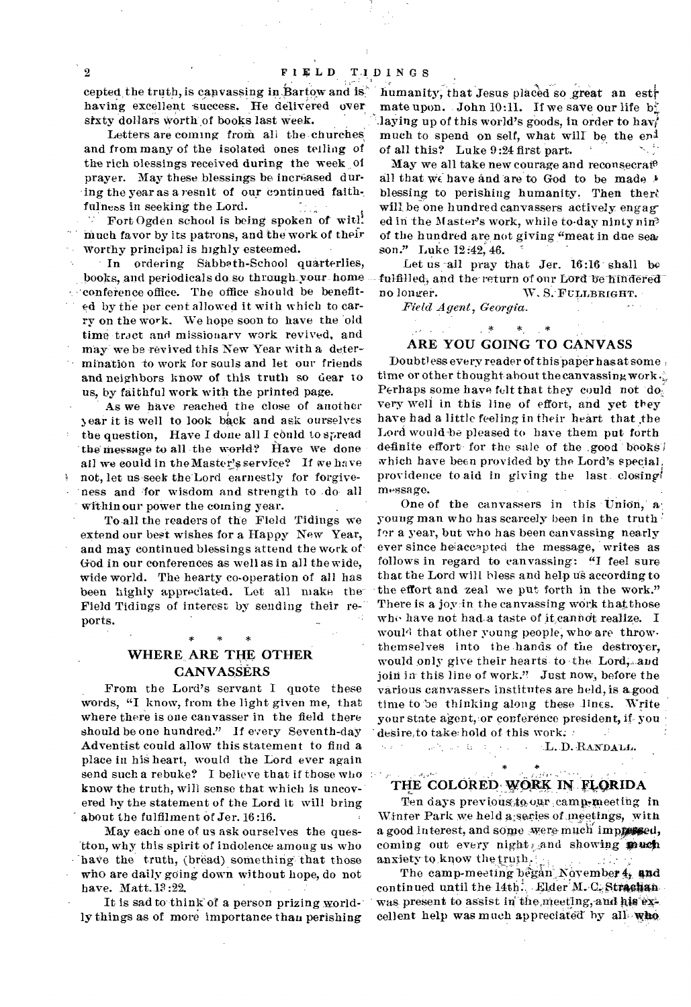<sup>2</sup> FIELD TIDINGS<br>
eepted the truth, is canvassing in: Bartow and is; humanity; that Jesus placed so great an estra<br>
having excellent success. He delivered over mate upon. John 10:11. If we save our life b having excellent success. He delivered over

and from many of the isolated ones telling of of all this? Luke 9:24 first part. the rich blessings received during the week  $\phi$  May we all take new courage and reconsecrate prayer. May these blessings be increased dur-<br>ing the vear as a result of our continued faith-<br>blessing to perishing humanity. Then there

much favor by its patrons, and the work of their of the hundred are not giving "meat in due sea. worthy principal is highly esteemed. son." Luke 12:42, 46.

In ordering Sabbeth-School quarterlies, Let us-all pray that Jer. 16:16 shall be books, and periodicals do so through your home -- fulfilled, and the return of our Lord be hindered conference office. The office should be benefited by the per cent allowed it with which to car- *Field Agent, Georgia.*  ry on the work. We hope soon to have the old time tract and missionary work revived, and may we be revived this New Year with a determination to work for souls and let our friends and neighbors know of this truth so dear to us, by faithful work with the printed page.

As we have reached the close of another ear it is well to look back and ask ourselves the question, Have I done all I could to spread the message to all the world? Have we done all we could in the Master's service? If we have not, let us seek the Lord earnestly for forgiveness and for wisdom and strength to do. all within our power the coming year.

To all the readers of the Field Tidings we extend our best wishes for a Happy New Year, and may continued blessings attend the work of. God in our conferences as well as in all the wide, wide world. The hearty co-operation of all has been highly appreciated. Let all make the Field Tidings of interest by sending their reports.

# \* \* \* WHERE ARE THE OTHER **CANVASSERS**

From the Lord's servant I quote these words, "I know, from the light given me, that where there is one canvasser in the field there should be one hundred." If every Seventh-day Adventist could allow this statement to find a place in his heart, would the Lord ever again send such a rebuke? I believe that if those who know the truth, will sense that which is uncov-' ered by the statement of the Lord it will bring about the fulfilment of Jer. 16:16.

May each one of us ask ourselves the questton, why this spirit of indolence among us who have the truth, (bread) something that those who are daily going down without hope, do not have. Matt. 13:22.

It is sad to think of a person prizing worldly things as of more importance than perishing

sixty dollars worth of books last week. laying up of this world's goods, in order to have Letters are coming from all the churches much to spend on self, what will be the end much to spend on self, what will be the end

ing the year as a resnit of our continued faith-<br>fulness in seeking the Lord. Will be one hundred canvassers actively engage fulness in seeking the Lord. will be one hundred canvassers actively engag-<br>Fort Ogden school is being spoken of with and in the Master's work, while to day ninty nine Fort Ogden school is being spoken of with ed in the Master's work, while to-day nintynin<sup>3</sup>

fulfilled, and the return of our Lord be hindered<br>no longer. W. S. FULLBRIGHT.

**Address Contracts** 

 $\omega_{\rm{max}}=0$ 

 $\ast$ 

### ARE YOU GOING TO CANVASS

 $*$   $*$ 

Doubtless every reader of this paper has at some time or other thought about the canvassing work. Perhaps some have felt that they could not do, very well in this line of effort, and yet they have had a little feeling in their heart that the Lord would-be pleased to have them put forth definite effort for the sale of the .good books! which have been provided by the Lord's special, providence to aid in *giving* the last. closing message.

One of the canvassers in this Union, a young man who has scarcely been in the truth ' for a year, but who has been canvassing nearly ever since heaccapted the message, writes as follows in regard to canvassing: "I feel sure that the Lord will bless and help us according to the effort and zeal we put forth in the work." There is a joy in the canvassing work that those who have not had a taste of it cannot realize. I would that other young people, who are throwthemselves into the hands of the destroyer, would only give their hearts to the Lord, and join in this line of work." Just now, before the various canvassers institutes are held, is agood time to be thinking along these lines. Write your state agent, or conference president, if you desire, to take: hold of this work;  $\therefore$  L.D. - 2

.L.D. RANDALL.  $\sim$ 

# THE COLORED WORK IN FLORIDA

 $\star$ 

Ten days previous, to our camp-meeting in Winter Park we held a secies of meetings, with a good interest, and some were much impressed, coming out every night, and showing with anxiety to know the truth.

The camp-meeting began November  $4<sub>i</sub>$  and continued until the  $14th^2$ . Elder M. C. Strachan was present to assist in the meeting, and his excellent help was much appreciated by all who

k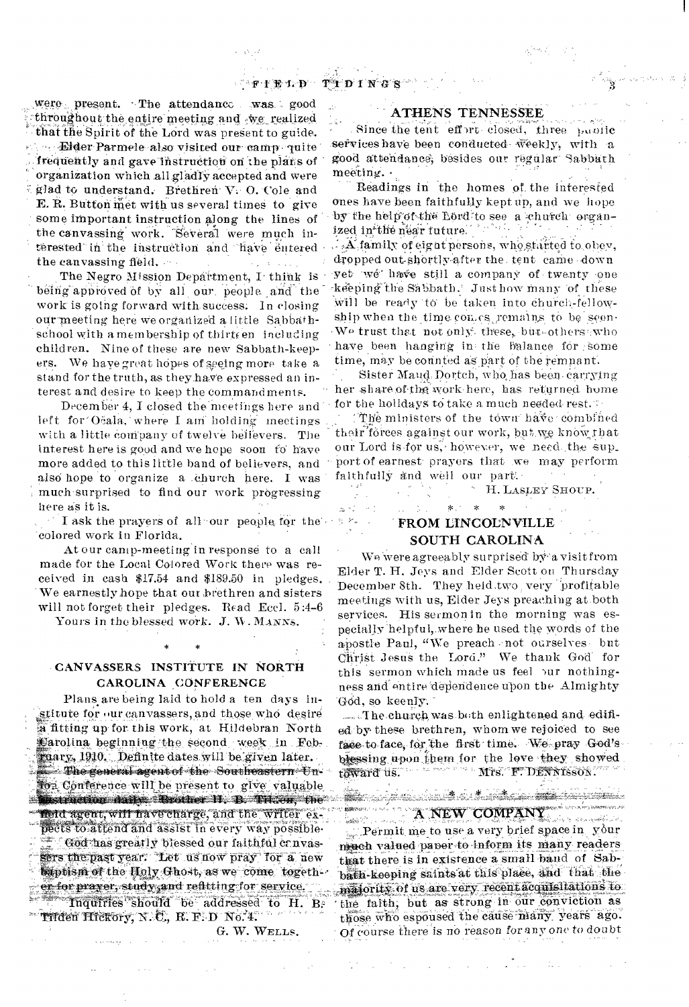were present. The attendance was good throughout the entire meeting and we realized that the Spirit of the Lord was present to guide. - Elder Parmele also visited our camp quite frequently and gave instruction on the plans of organization which all gladly accepted and were glad to understand. Brethren V. O. Cole and E. R. Button met with us several times to give some important instruction along the lines of the canvassing work. Several were much interested in the instruction and have entered the canvassing field.

The Negro Mission Department, I think is being approved of by all our people and the work is going forward with success. In closing our meeting here we organized a little Sabbathschool with a membership of thirteen including children. Nine of these are new Sabbath-keepers. We have great hopes of seeing more take a stand for the truth, as they have expressed an interest and desire to keep the commandments.

December 4, I closed the meetings here and left for Ocala, where I am holding meetings with a little company of twelve believers. The interest here is good and we hepe soon fo have more added to this little band of believers, and also hope to organize a church here. I was much surprised to find our work progressing here as it is.

I ask the prayers of all our people for the colored work in Florida.

At our camp-meeting in response to a call made for the Local Colored Work there was received in cash \$17.54 and \$189.50 in pledges. We earnestly hope that our brethren and sisters will not forget their pledges. Read Eccl. 5:4-6

Yours in the blessed work. J. W. MANNS.

# CANVASSERS INSTITUTE IN NORTH CAROLINA CONFERENCE

Plans are being laid to hold a ten days institute for our canvassers, and those who desire a fitting up for this work, at Hildebran North Carolina beginning the second week in Febraary, 1910. Definite dates will be given later. Dhe general agent of the Southeastern Unson Conference will be present to give valuable **Mistraction dates Restrectly B. Tricen the** fleid agent, will have charge, and the writer expects to attend and assist in every way possible. God has greatly blessed our faithful canvassers the past year. Let us now pray for a new baptism of the Holy Ghost, as we come togeth er for prayer, study and refitting for service. Inquiries should be addressed to H. B. **Tilden Hickory, N. C., R. F. D. No. 4.** 

G. W. WELLS.

### **ATHENS TENNESSEE**

Since the tent effort closed, three public services have been conducted weekly, with a good attendance, besides our regular Sabbath meeting. .

Readings in the homes of the interested ones have been faithfully kept up, and we hope by the help of the Lord to see a church organt je teri ized in the near future.

 $\therefore$  A family of eight persons, who started to obey, dropped out shortly after the tent came down yet wé have still a company of twenty one keeping the Sabbath. Just how many of these will be ready to be taken into church-fellowship when the time comes remains to be seen. We trust that not only these, but others who have been hanging in the balance for some time, may be counted as part of the remnant.

Sister Maud Dortch, who has been carrying her share of the work here, has returned home for the holidays to take a much needed rest.

The ministers of the town have combined their forces against our work, but we know that our Lord is for us, however, we need the support of earnest prayers that we may perform faithfully and well our part.

H. LASLEY SHOUP.

# FROM LINCOLNVILLE SOUTH CAROLINA

 $\mathbf{x}^{(1)}$ 

 $\ddot{\phantom{a}}$ 

 $\mathcal{F} \rightarrow$ 

 $\omega \sim 1$  ,  $\sim 1$ 

 $\leftarrow x$  .

We were agreeably surprised by a visit from Elder T. H. Jeys and Elder Scott on Thursday December 8th. They held two very profitable meetings with us, Elder Jeys preaching at both services. His sermon in the morning was especially helpful, where he used the words of the apostle Paul, "We preach not ourselves but Christ Jesus the Lord." We thank God for this sermon which made us feel pur nothingness and entire dependence upon the Almighty God, so keenly.

The church was both enlightened and edified by these brethren, whom we rejoiced to see face to face, for the first time. We pray God'sblessing upon them for the love they showed toward us. Mrs. F. DENNISSON.

station of the second second station of the second second second second second second second second second second second second second second second second second second second second second second second second second sec

A NEW COMPANY Permit me to use a very brief space in your much valued paper to inform its many readers that there is in existence a small band of Sabbath-keeping saints at this place, and that the majority of us are very recent acquisitations to the faith, but as strong in our conviction as those who espoused the cause many years ago. Of course there is no reason for any one to doubt